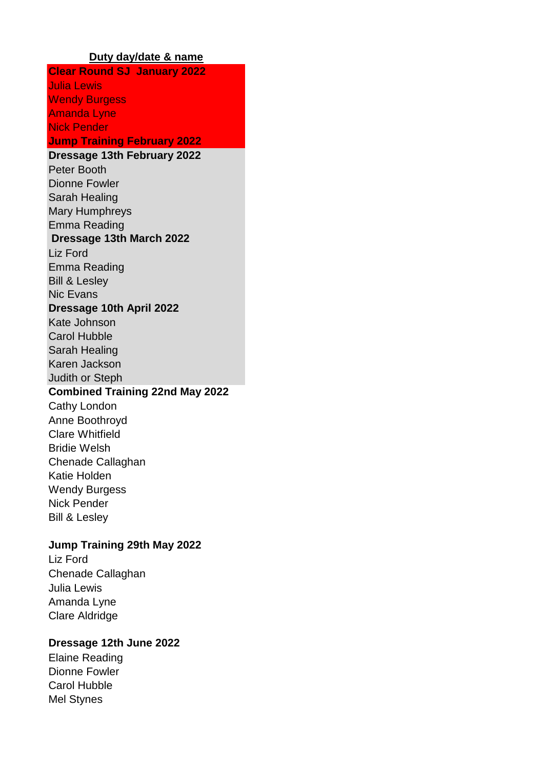#### **Duty day/date & name**

**Clear Round SJ January 2022** Julia Lewis Wendy Burgess Amanda Lyne Nick Pender **Jump Training February 2022 Dressage 13th February 2022** Peter Booth Dionne Fowler Sarah Healing Mary Humphreys Emma Reading  **Dressage 13th March 2022** Liz Ford Emma Reading Bill & Lesley Nic Evans **Dressage 10th April 2022** Kate Johnson Carol Hubble Sarah Healing Karen Jackson Judith or Steph **Combined Training 22nd May 2022** Cathy London Anne Boothroyd Clare Whitfield Bridie Welsh Chenade Callaghan Katie Holden Wendy Burgess Nick Pender Bill & Lesley

## **Jump Training 29th May 2022**

Liz Ford Chenade Callaghan Julia Lewis Amanda Lyne Clare Aldridge

## **Dressage 12th June 2022**

Elaine Reading Dionne Fowler Carol Hubble Mel Stynes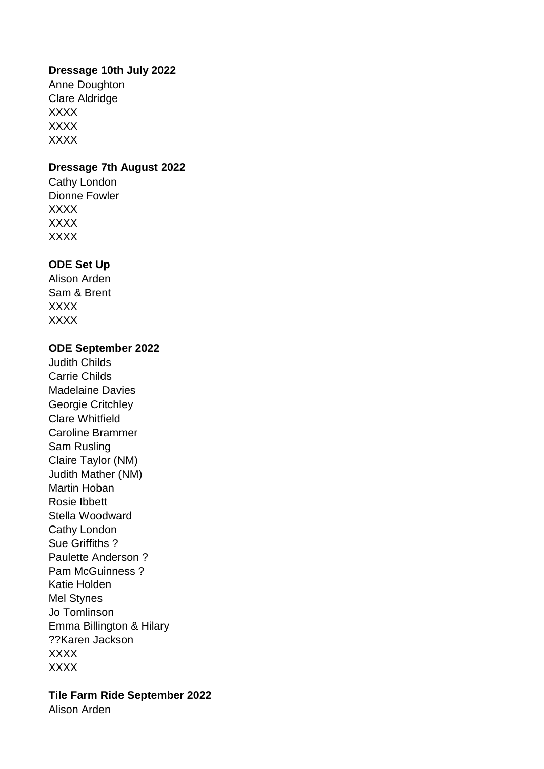## **Dressage 10th July 2022**

Anne Doughton Clare Aldridge XXXX XXXX XXXX

## **Dressage 7th August 2022**

Cathy London Dionne Fowler XXXX XXXX XXXX

## **ODE Set Up**

Alison Arden Sam & Brent XXXX XXXX

#### **ODE September 2022**

Judith Childs Carrie Childs Madelaine Davies Georgie Critchley Clare Whitfield Caroline Brammer Sam Rusling Claire Taylor (NM) Judith Mather (NM) Martin Hoban Rosie Ibbett Stella Woodward Cathy London Sue Griffiths ? Paulette Anderson ? Pam McGuinness ? Katie Holden Mel Stynes Jo Tomlinson Emma Billington & Hilary ??Karen Jackson XXXX XXXX

# **Tile Farm Ride September 2022**

Alison Arden